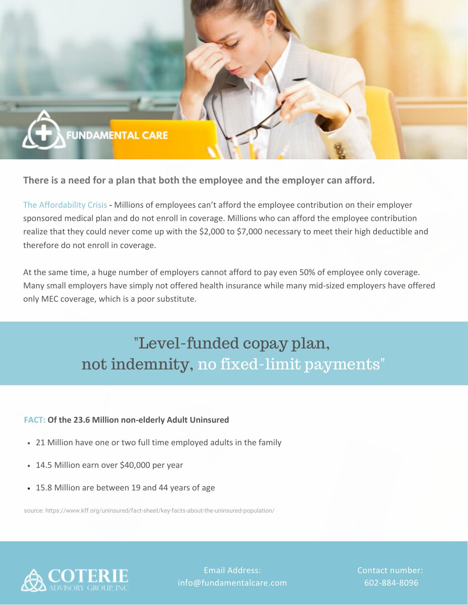

**There is a need for a plan that both the employee and the employer can afford.**

The Affordability Crisis - Millions of employees can't afford the employee contribution on their employer sponsored medical plan and do not enroll in coverage. Millions who can afford the employee contribution realize that they could never come up with the \$2,000 to \$7,000 necessary to meet their high deductible and therefore do not enroll in coverage.

At the same time, a huge number of employers cannot afford to pay even 50% of employee only coverage. Many small employers have simply not offered health insurance while many mid-sized employers have offered only MEC coverage, which is a poor substitute.

# "Level-funded copay plan, not indemnity, no fixed-limit payments"

### **FACT: Of the 23.6 Million non-elderly Adult Uninsured**

- 21 Million have one or two full time employed adults in the family
- 14.5 Million earn over \$40,000 per year
- 15.8 Million are between 19 and 44 years of age

source: <https://www.kff.org/uninsured/fact-sheet/key-facts-about-the-uninsured-population/>



Email Address: info@fundamentalcare.com Contact number: 602-884-8096